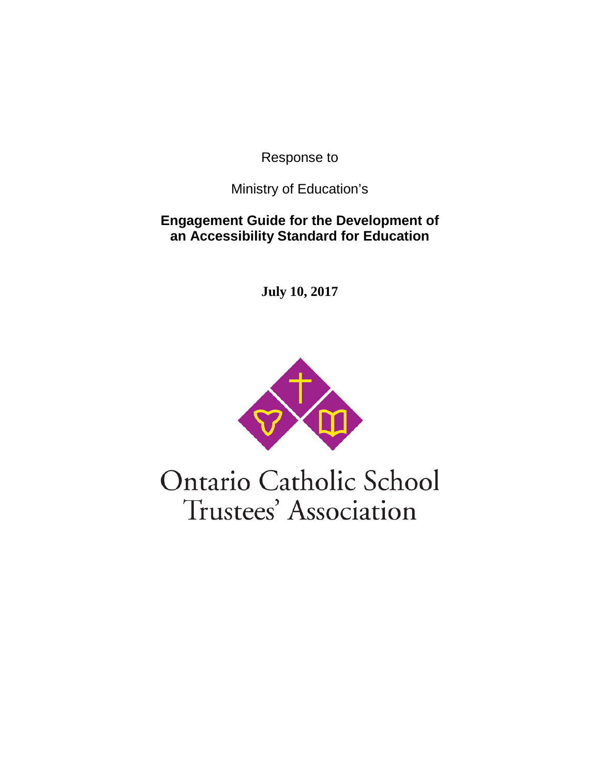Response to

Ministry of Education's

**Engagement Guide for the Development of an Accessibility Standard for Education**

**July 10, 2017**



Ontario Catholic School Trustees' Association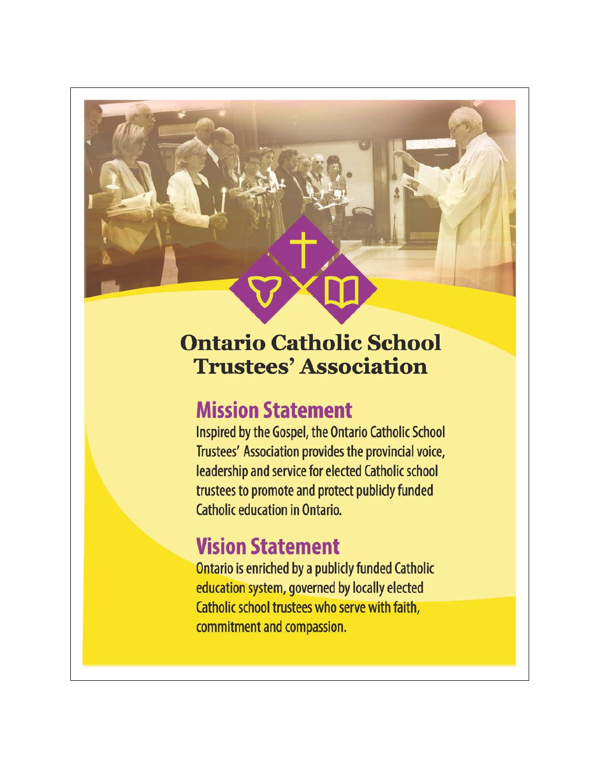# **Ontario Catholic School Trustees' Association**

# **Mission Statement**

Inspired by the Gospel, the Ontario Catholic School Trustees' Association provides the provincial voice, leadership and service for elected Catholic school trustees to promote and protect publicly funded **Catholic education in Ontario.** 

# **Vision Statement**

**Ontario is enriched by a publicly funded Catholic** education system, governed by locally elected Catholic school trustees who serve with faith, commitment and compassion.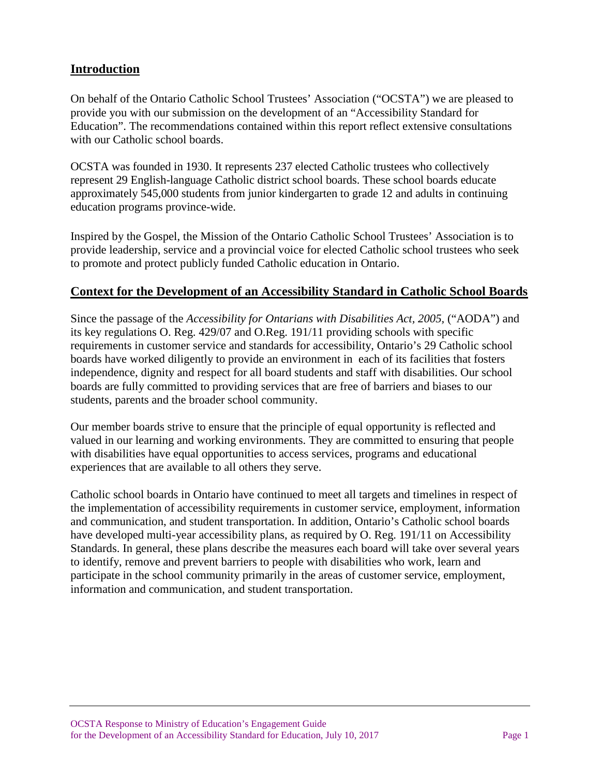#### **Introduction**

On behalf of the Ontario Catholic School Trustees' Association ("OCSTA") we are pleased to provide you with our submission on the development of an "Accessibility Standard for Education". The recommendations contained within this report reflect extensive consultations with our Catholic school boards.

OCSTA was founded in 1930. It represents 237 elected Catholic trustees who collectively represent 29 English-language Catholic district school boards. These school boards educate approximately 545,000 students from junior kindergarten to grade 12 and adults in continuing education programs province-wide.

Inspired by the Gospel, the Mission of the Ontario Catholic School Trustees' Association is to provide leadership, service and a provincial voice for elected Catholic school trustees who seek to promote and protect publicly funded Catholic education in Ontario.

#### **Context for the Development of an Accessibility Standard in Catholic School Boards**

Since the passage of the *Accessibility for Ontarians with Disabilities Act, 2005,* ("AODA") and its key regulations O. Reg. 429/07 and O.Reg. 191/11 providing schools with specific requirements in customer service and standards for accessibility, Ontario's 29 Catholic school boards have worked diligently to provide an environment in each of its facilities that fosters independence, dignity and respect for all board students and staff with disabilities. Our school boards are fully committed to providing services that are free of barriers and biases to our students, parents and the broader school community.

Our member boards strive to ensure that the principle of equal opportunity is reflected and valued in our learning and working environments. They are committed to ensuring that people with disabilities have equal opportunities to access services, programs and educational experiences that are available to all others they serve.

Catholic school boards in Ontario have continued to meet all targets and timelines in respect of the implementation of accessibility requirements in customer service, employment, information and communication, and student transportation. In addition, Ontario's Catholic school boards have developed multi-year accessibility plans, as required by O. Reg. 191/11 on Accessibility Standards. In general, these plans describe the measures each board will take over several years to identify, remove and prevent barriers to people with disabilities who work, learn and participate in the school community primarily in the areas of customer service, employment, information and communication, and student transportation.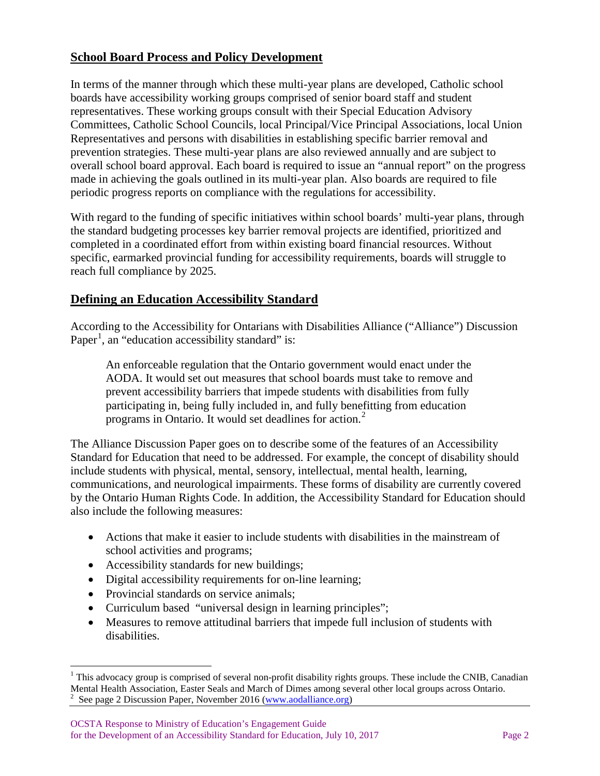#### **School Board Process and Policy Development**

In terms of the manner through which these multi-year plans are developed, Catholic school boards have accessibility working groups comprised of senior board staff and student representatives. These working groups consult with their Special Education Advisory Committees, Catholic School Councils, local Principal/Vice Principal Associations, local Union Representatives and persons with disabilities in establishing specific barrier removal and prevention strategies. These multi-year plans are also reviewed annually and are subject to overall school board approval. Each board is required to issue an "annual report" on the progress made in achieving the goals outlined in its multi-year plan. Also boards are required to file periodic progress reports on compliance with the regulations for accessibility.

With regard to the funding of specific initiatives within school boards' multi-year plans, through the standard budgeting processes key barrier removal projects are identified, prioritized and completed in a coordinated effort from within existing board financial resources. Without specific, earmarked provincial funding for accessibility requirements, boards will struggle to reach full compliance by 2025.

#### **Defining an Education Accessibility Standard**

According to the Accessibility for Ontarians with Disabilities Alliance ("Alliance") Discussion Paper<sup>[1](#page-3-0)</sup>, an "education accessibility standard" is:

An enforceable regulation that the Ontario government would enact under the AODA. It would set out measures that school boards must take to remove and prevent accessibility barriers that impede students with disabilities from fully participating in, being fully included in, and fully benefitting from education programs in Ontario. It would set deadlines for action. $<sup>2</sup>$  $<sup>2</sup>$  $<sup>2</sup>$ </sup>

The Alliance Discussion Paper goes on to describe some of the features of an Accessibility Standard for Education that need to be addressed. For example, the concept of disability should include students with physical, mental, sensory, intellectual, mental health, learning, communications, and neurological impairments. These forms of disability are currently covered by the Ontario Human Rights Code. In addition, the Accessibility Standard for Education should also include the following measures:

- Actions that make it easier to include students with disabilities in the mainstream of school activities and programs;
- Accessibility standards for new buildings;
- Digital accessibility requirements for on-line learning;
- Provincial standards on service animals;
- Curriculum based "universal design in learning principles";
- Measures to remove attitudinal barriers that impede full inclusion of students with disabilities.

<span id="page-3-1"></span><span id="page-3-0"></span><sup>&</sup>lt;sup>1</sup> This advocacy group is comprised of several non-profit disability rights groups. These include the CNIB, Canadian Mental Health Association, Easter Seals and March of Dimes among several other local groups across Ontario.<br><sup>2</sup> See page 2 Discussion Paper, November 2016 [\(www.aodalliance.org\)](http://www.aodalliance.org/)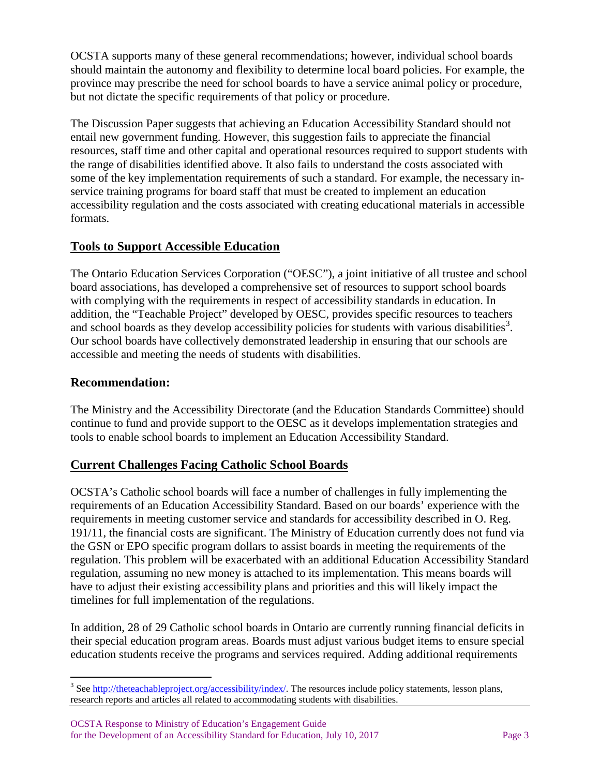OCSTA supports many of these general recommendations; however, individual school boards should maintain the autonomy and flexibility to determine local board policies. For example, the province may prescribe the need for school boards to have a service animal policy or procedure, but not dictate the specific requirements of that policy or procedure.

The Discussion Paper suggests that achieving an Education Accessibility Standard should not entail new government funding. However, this suggestion fails to appreciate the financial resources, staff time and other capital and operational resources required to support students with the range of disabilities identified above. It also fails to understand the costs associated with some of the key implementation requirements of such a standard. For example, the necessary inservice training programs for board staff that must be created to implement an education accessibility regulation and the costs associated with creating educational materials in accessible formats.

#### **Tools to Support Accessible Education**

The Ontario Education Services Corporation ("OESC"), a joint initiative of all trustee and school board associations, has developed a comprehensive set of resources to support school boards with complying with the requirements in respect of accessibility standards in education. In addition, the "Teachable Project" developed by OESC, provides specific resources to teachers and school boards as they develop accessibility policies for students with various disabilities<sup>[3](#page-4-0)</sup>. Our school boards have collectively demonstrated leadership in ensuring that our schools are accessible and meeting the needs of students with disabilities.

#### **Recommendation:**

The Ministry and the Accessibility Directorate (and the Education Standards Committee) should continue to fund and provide support to the OESC as it develops implementation strategies and tools to enable school boards to implement an Education Accessibility Standard.

#### **Current Challenges Facing Catholic School Boards**

OCSTA's Catholic school boards will face a number of challenges in fully implementing the requirements of an Education Accessibility Standard. Based on our boards' experience with the requirements in meeting customer service and standards for accessibility described in O. Reg. 191/11, the financial costs are significant. The Ministry of Education currently does not fund via the GSN or EPO specific program dollars to assist boards in meeting the requirements of the regulation. This problem will be exacerbated with an additional Education Accessibility Standard regulation, assuming no new money is attached to its implementation. This means boards will have to adjust their existing accessibility plans and priorities and this will likely impact the timelines for full implementation of the regulations.

In addition, 28 of 29 Catholic school boards in Ontario are currently running financial deficits in their special education program areas. Boards must adjust various budget items to ensure special education students receive the programs and services required. Adding additional requirements

<span id="page-4-0"></span><sup>&</sup>lt;sup>3</sup> Se[e http://theteachableproject.org/accessibility/index/.](http://theteachableproject.org/accessibility/index/) The resources include policy statements, lesson plans, research reports and articles all related to accommodating students with disabilities.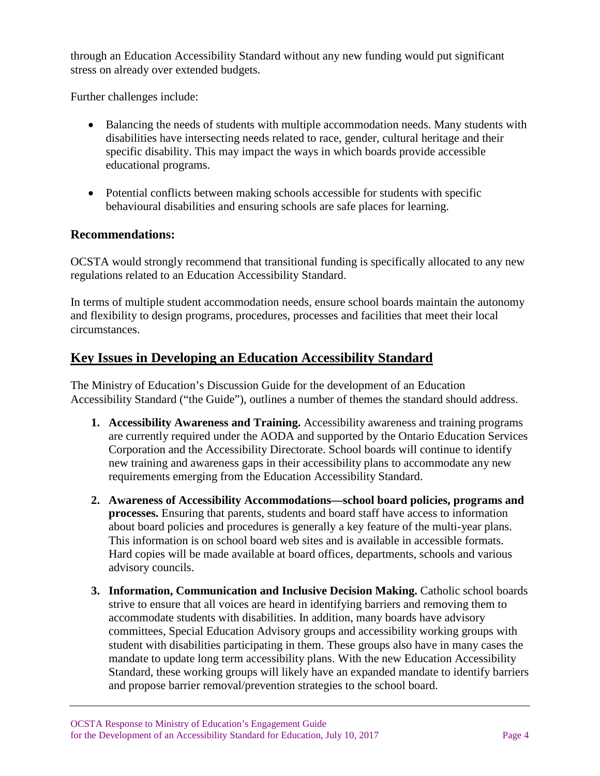through an Education Accessibility Standard without any new funding would put significant stress on already over extended budgets.

Further challenges include:

- Balancing the needs of students with multiple accommodation needs. Many students with disabilities have intersecting needs related to race, gender, cultural heritage and their specific disability. This may impact the ways in which boards provide accessible educational programs.
- Potential conflicts between making schools accessible for students with specific behavioural disabilities and ensuring schools are safe places for learning.

#### **Recommendations:**

OCSTA would strongly recommend that transitional funding is specifically allocated to any new regulations related to an Education Accessibility Standard.

In terms of multiple student accommodation needs, ensure school boards maintain the autonomy and flexibility to design programs, procedures, processes and facilities that meet their local circumstances.

### **Key Issues in Developing an Education Accessibility Standard**

The Ministry of Education's Discussion Guide for the development of an Education Accessibility Standard ("the Guide"), outlines a number of themes the standard should address.

- **1. Accessibility Awareness and Training.** Accessibility awareness and training programs are currently required under the AODA and supported by the Ontario Education Services Corporation and the Accessibility Directorate. School boards will continue to identify new training and awareness gaps in their accessibility plans to accommodate any new requirements emerging from the Education Accessibility Standard.
- **2. Awareness of Accessibility Accommodations—school board policies, programs and processes.** Ensuring that parents, students and board staff have access to information about board policies and procedures is generally a key feature of the multi-year plans. This information is on school board web sites and is available in accessible formats. Hard copies will be made available at board offices, departments, schools and various advisory councils.
- **3. Information, Communication and Inclusive Decision Making.** Catholic school boards strive to ensure that all voices are heard in identifying barriers and removing them to accommodate students with disabilities. In addition, many boards have advisory committees, Special Education Advisory groups and accessibility working groups with student with disabilities participating in them. These groups also have in many cases the mandate to update long term accessibility plans. With the new Education Accessibility Standard, these working groups will likely have an expanded mandate to identify barriers and propose barrier removal/prevention strategies to the school board.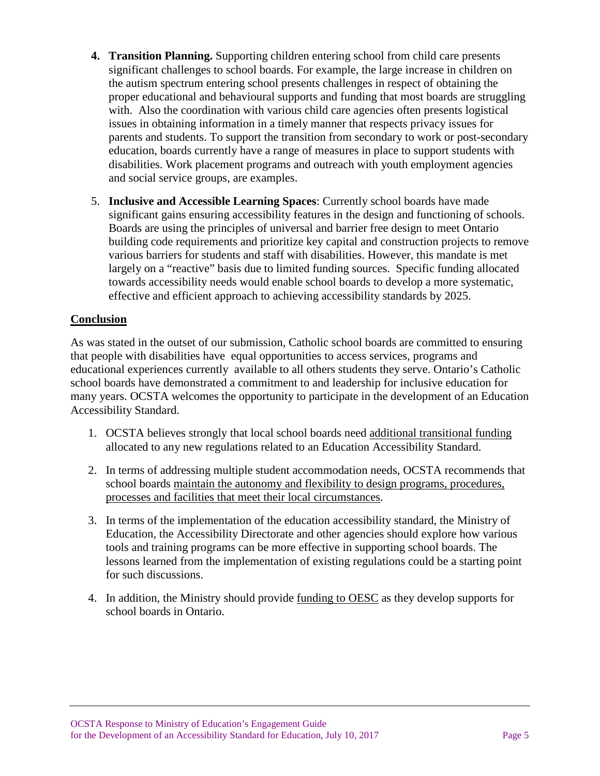- **4. Transition Planning.** Supporting children entering school from child care presents significant challenges to school boards. For example, the large increase in children on the autism spectrum entering school presents challenges in respect of obtaining the proper educational and behavioural supports and funding that most boards are struggling with. Also the coordination with various child care agencies often presents logistical issues in obtaining information in a timely manner that respects privacy issues for parents and students. To support the transition from secondary to work or post-secondary education, boards currently have a range of measures in place to support students with disabilities. Work placement programs and outreach with youth employment agencies and social service groups, are examples.
- 5. **Inclusive and Accessible Learning Spaces**: Currently school boards have made significant gains ensuring accessibility features in the design and functioning of schools. Boards are using the principles of universal and barrier free design to meet Ontario building code requirements and prioritize key capital and construction projects to remove various barriers for students and staff with disabilities. However, this mandate is met largely on a "reactive" basis due to limited funding sources. Specific funding allocated towards accessibility needs would enable school boards to develop a more systematic, effective and efficient approach to achieving accessibility standards by 2025.

#### **Conclusion**

As was stated in the outset of our submission, Catholic school boards are committed to ensuring that people with disabilities have equal opportunities to access services, programs and educational experiences currently available to all others students they serve. Ontario's Catholic school boards have demonstrated a commitment to and leadership for inclusive education for many years. OCSTA welcomes the opportunity to participate in the development of an Education Accessibility Standard.

- 1. OCSTA believes strongly that local school boards need additional transitional funding allocated to any new regulations related to an Education Accessibility Standard.
- 2. In terms of addressing multiple student accommodation needs, OCSTA recommends that school boards maintain the autonomy and flexibility to design programs, procedures, processes and facilities that meet their local circumstances.
- 3. In terms of the implementation of the education accessibility standard, the Ministry of Education, the Accessibility Directorate and other agencies should explore how various tools and training programs can be more effective in supporting school boards. The lessons learned from the implementation of existing regulations could be a starting point for such discussions.
- 4. In addition, the Ministry should provide funding to OESC as they develop supports for school boards in Ontario.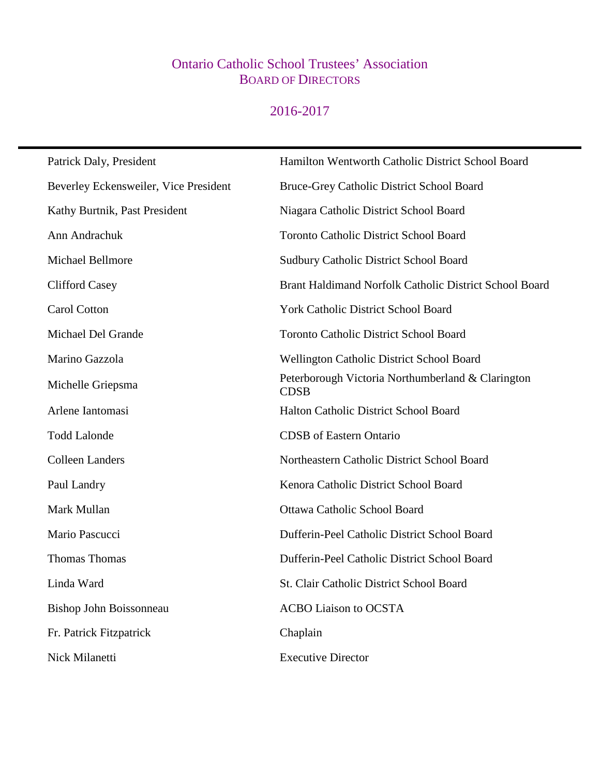### Ontario Catholic School Trustees' Association BOARD OF DIRECTORS

## 2016-2017

| Patrick Daly, President               | Hamilton Wentworth Catholic District School Board                |
|---------------------------------------|------------------------------------------------------------------|
| Beverley Eckensweiler, Vice President | Bruce-Grey Catholic District School Board                        |
| Kathy Burtnik, Past President         | Niagara Catholic District School Board                           |
| Ann Andrachuk                         | <b>Toronto Catholic District School Board</b>                    |
| Michael Bellmore                      | <b>Sudbury Catholic District School Board</b>                    |
| <b>Clifford Casey</b>                 | Brant Haldimand Norfolk Catholic District School Board           |
| Carol Cotton                          | York Catholic District School Board                              |
| Michael Del Grande                    | <b>Toronto Catholic District School Board</b>                    |
| Marino Gazzola                        | <b>Wellington Catholic District School Board</b>                 |
| Michelle Griepsma                     | Peterborough Victoria Northumberland & Clarington<br><b>CDSB</b> |
| Arlene Iantomasi                      | Halton Catholic District School Board                            |
| <b>Todd Lalonde</b>                   | <b>CDSB</b> of Eastern Ontario                                   |
| <b>Colleen Landers</b>                | Northeastern Catholic District School Board                      |
| Paul Landry                           | Kenora Catholic District School Board                            |
| Mark Mullan                           | <b>Ottawa Catholic School Board</b>                              |
| Mario Pascucci                        | Dufferin-Peel Catholic District School Board                     |
| <b>Thomas Thomas</b>                  | Dufferin-Peel Catholic District School Board                     |
| Linda Ward                            | St. Clair Catholic District School Board                         |
| Bishop John Boissonneau               | <b>ACBO Liaison to OCSTA</b>                                     |
| Fr. Patrick Fitzpatrick               | Chaplain                                                         |
| Nick Milanetti                        | <b>Executive Director</b>                                        |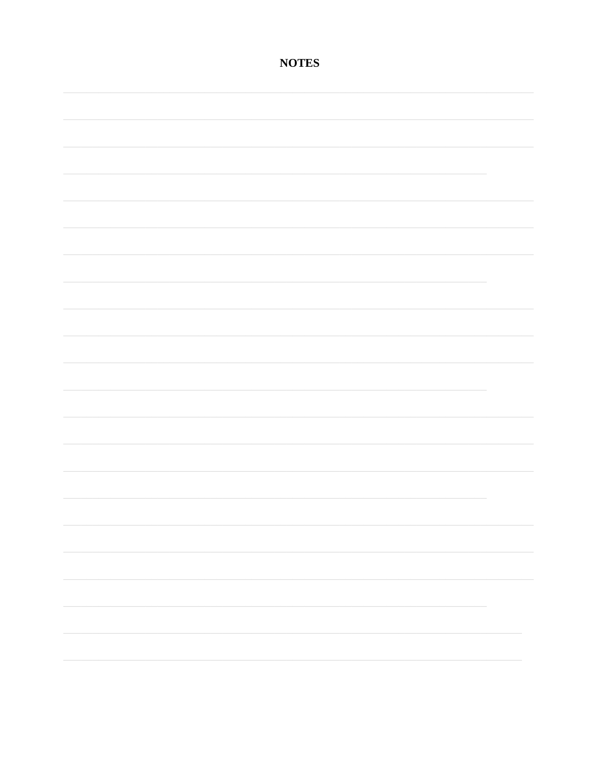### **NOTES**